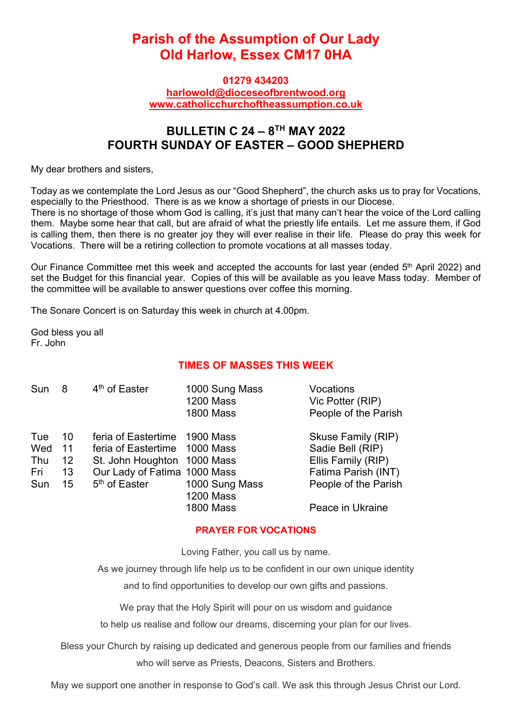# **Parish of the Assumption of Our Lady Old Harlow, Essex CM17 0HA**

#### **01279 434203 harlowold@dioceseofbrentwood.org www.catholicchurchoftheassumption.co.uk**

## **BULLETIN C 24 – 8TH MAY 2022 FOURTH SUNDAY OF EASTER – GOOD SHEPHERD**

My dear brothers and sisters,

Today as we contemplate the Lord Jesus as our "Good Shepherd", the church asks us to pray for Vocations, especially to the Priesthood. There is as we know a shortage of priests in our Diocese.

There is no shortage of those whom God is calling, it's just that many can't hear the voice of the Lord calling them. Maybe some hear that call, but are afraid of what the priestly life entails. Let me assure them, if God is calling them, then there is no greater joy they will ever realise in their life. Please do pray this week for Vocations. There will be a retiring collection to promote vocations at all masses today.

Our Finance Committee met this week and accepted the accounts for last year (ended 5<sup>th</sup> April 2022) and set the Budget for this financial year. Copies of this will be available as you leave Mass today. Member of the committee will be available to answer questions over coffee this morning.

The Sonare Concert is on Saturday this week in church at 4.00pm.

God bless you all Fr. John

### **TIMES OF MASSES THIS WEEK**

| Sun                      | 8                    | 4 <sup>th</sup> of Easter                                                                                                     | 1000 Sung Mass<br><b>1200 Mass</b><br><b>1800 Mass</b> | Vocations<br>Vic Potter (RIP)<br>People of the Parish                               |
|--------------------------|----------------------|-------------------------------------------------------------------------------------------------------------------------------|--------------------------------------------------------|-------------------------------------------------------------------------------------|
| Tue<br>Wed<br>Thu<br>Fri | 10<br>11<br>12<br>13 | feria of Eastertime 1900 Mass<br>feria of Eastertime 1000 Mass<br>St. John Houghton 1000 Mass<br>Our Lady of Fatima 1000 Mass |                                                        | Skuse Family (RIP)<br>Sadie Bell (RIP)<br>Ellis Family (RIP)<br>Fatima Parish (INT) |
| Sun                      | 15 <sup>15</sup>     | 5 <sup>th</sup> of Easter                                                                                                     | 1000 Sung Mass<br><b>1200 Mass</b><br><b>1800 Mass</b> | People of the Parish<br>Peace in Ukraine                                            |

#### **PRAYER FOR VOCATIONS**

Loving Father, you call us by name.

As we journey through life help us to be confident in our own unique identity and to find opportunities to develop our own gifts and passions.

We pray that the Holy Spirit will pour on us wisdom and guidance

to help us realise and follow our dreams, discerning your plan for our lives.

Bless your Church by raising up dedicated and generous people from our families and friends who will serve as Priests, Deacons, Sisters and Brothers.

May we support one another in response to God's call. We ask this through Jesus Christ our Lord.